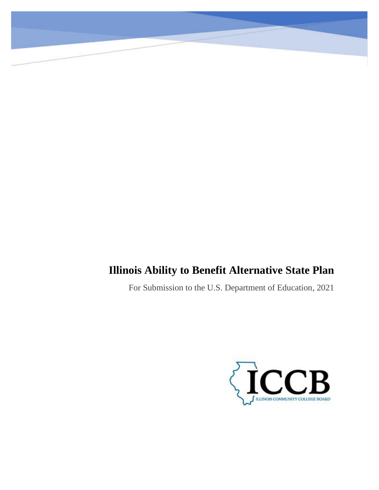# **Illinois Ability to Benefit Alternative State Plan**

For Submission to the U.S. Department of Education, 2021

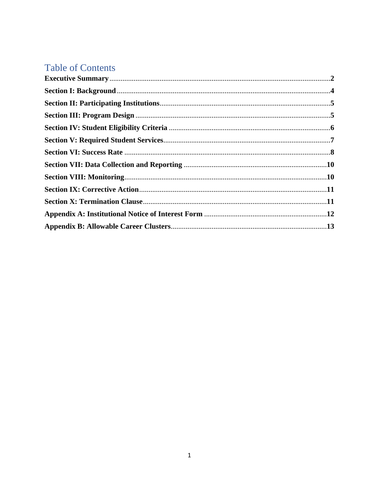# **Table of Contents**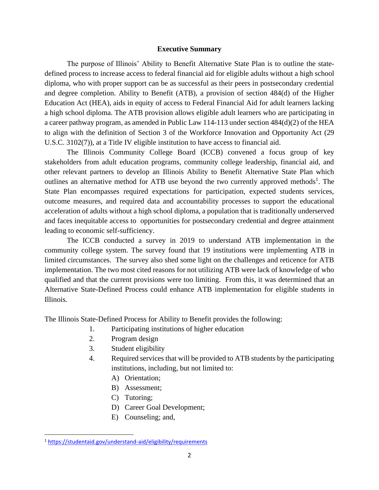#### **Executive Summary**

The purpose of Illinois' Ability to Benefit Alternative State Plan is to outline the statedefined process to increase access to federal financial aid for eligible adults without a high school diploma, who with proper support can be as successful as their peers in postsecondary credential and degree completion. Ability to Benefit (ATB), a provision of section 484(d) of the Higher Education Act (HEA), aids in equity of access to Federal Financial Aid for adult learners lacking a high school diploma. The ATB provision allows eligible adult learners who are participating in a career pathway program, as amended in Public Law 114-113 under section 484(d)(2) of the HEA to align with the definition of Section 3 of the Workforce Innovation and Opportunity Act (29 U.S.C. 3102(7)), at a Title IV eligible institution to have access to financial aid.

The Illinois Community College Board (ICCB) convened a focus group of key stakeholders from adult education programs, community college leadership, financial aid, and other relevant partners to develop an Illinois Ability to Benefit Alternative State Plan which outlines an alternative method for ATB use beyond the two currently approved methods<sup>1</sup>. The State Plan encompasses required expectations for participation, expected students services, outcome measures, and required data and accountability processes to support the educational acceleration of adults without a high school diploma, a population that is traditionally underserved and faces inequitable access to opportunities for postsecondary credential and degree attainment leading to economic self-sufficiency.

The ICCB conducted a survey in 2019 to understand ATB implementation in the community college system. The survey found that 19 institutions were implementing ATB in limited circumstances. The survey also shed some light on the challenges and reticence for ATB implementation. The two most cited reasons for not utilizing ATB were lack of knowledge of who qualified and that the current provisions were too limiting. From this, it was determined that an Alternative State-Defined Process could enhance ATB implementation for eligible students in Illinois.

The Illinois State-Defined Process for Ability to Benefit provides the following:

- 1. Participating institutions of higher education
- 2. Program design
- 3. Student eligibility
- 4. Required services that will be provided to ATB students by the participating institutions, including, but not limited to:
	- A) Orientation;
	- B) Assessment;
	- C) Tutoring;
	- D) Career Goal Development;
	- E) Counseling; and,

<sup>1</sup> <https://studentaid.gov/understand-aid/eligibility/requirements>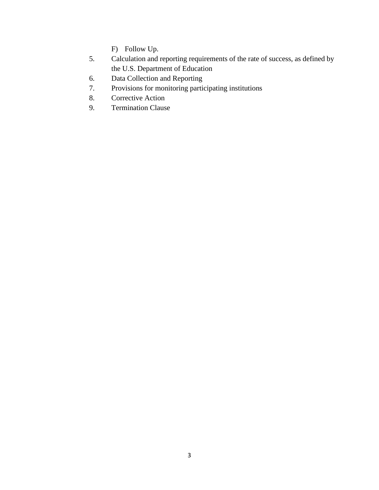F) Follow Up.

- 5. Calculation and reporting requirements of the rate of success, as defined by the U.S. Department of Education
- 6. Data Collection and Reporting
- 7. Provisions for monitoring participating institutions
- 8. Corrective Action
- 9. Termination Clause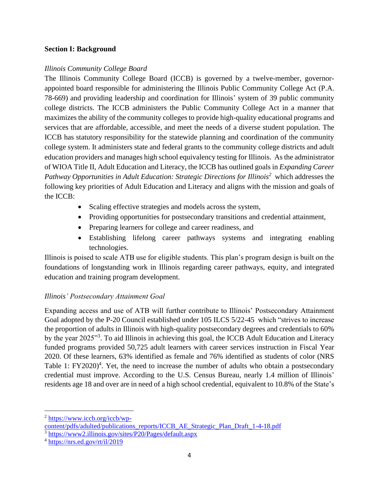## **Section I: Background**

## *Illinois Community College Board*

The Illinois Community College Board (ICCB) is governed by a twelve-member, governorappointed board responsible for administering the Illinois Public Community College Act (P.A. 78-669) and providing leadership and coordination for Illinois' system of 39 public community college districts. The ICCB administers the Public Community College Act in a manner that maximizes the ability of the community colleges to provide high-quality educational programs and services that are affordable, accessible, and meet the needs of a diverse student population. The ICCB has statutory responsibility for the statewide planning and coordination of the community college system. It administers state and federal grants to the community college districts and adult education providers and manages high school equivalency testing for Illinois. As the administrator of WIOA Title II, Adult Education and Literacy, the ICCB has outlined goals in *Expanding Career Pathway Opportunities in Adult Education: Strategic Directions for Illinois<sup>2</sup>* which addresses the following key priorities of Adult Education and Literacy and aligns with the mission and goals of the ICCB:

- Scaling effective strategies and models across the system,
- Providing opportunities for postsecondary transitions and credential attainment,
- Preparing learners for college and career readiness, and
- Establishing lifelong career pathways systems and integrating enabling technologies.

Illinois is poised to scale ATB use for eligible students. This plan's program design is built on the foundations of longstanding work in Illinois regarding career pathways, equity, and integrated education and training program development.

# *Illinois' Postsecondary Attainment Goal*

Expanding access and use of ATB will further contribute to Illinois' Postsecondary Attainment Goal adopted by the P-20 Council established under 105 ILCS 5/22-45 which "strives to increase the proportion of adults in Illinois with high-quality postsecondary degrees and credentials to 60% by the year 2025"<sup>3</sup>. To aid Illinois in achieving this goal, the ICCB Adult Education and Literacy funded programs provided 50,725 adult learners with career services instruction in Fiscal Year 2020. Of these learners, 63% identified as female and 76% identified as students of color (NRS Table 1:  $FY2020)^4$ . Yet, the need to increase the number of adults who obtain a postsecondary credential must improve. According to the [U.S. Census Bureau,](https://tableau.sbctc.edu/t/SBCTC_DEV/views/PopulationwithoutaHighSchoolDiplomabyCounty/PopulationwithoutaHighSchoolDiplomaDashboard?iframeSizedToWindow=true&%3Aembed=y&%3AshowAppBanner=false&%3Adisplay_count=no&%3AshowVizHome=no) nearly 1.4 million of Illinois' residents age 18 and over are in need of a high school credential, equivalent to 10.8% of the State's

<sup>2</sup> [https://www.iccb.org/iccb/wp-](https://www.iccb.org/iccb/wp-content/pdfs/adulted/publications_reports/ICCB_AE_Strategic_Plan_Draft_1-4-18.pdf)

[content/pdfs/adulted/publications\\_reports/ICCB\\_AE\\_Strategic\\_Plan\\_Draft\\_1-4-18.pdf](https://www.iccb.org/iccb/wp-content/pdfs/adulted/publications_reports/ICCB_AE_Strategic_Plan_Draft_1-4-18.pdf)

<sup>3</sup> <https://www2.illinois.gov/sites/P20/Pages/default.aspx>

<sup>4</sup> <https://nrs.ed.gov/rt/il/2019>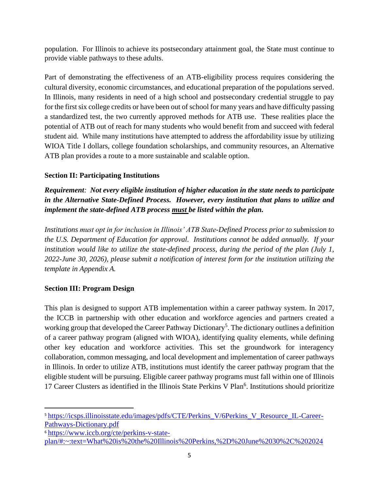population. For Illinois to achieve its postsecondary attainment goal, the State must continue to provide viable pathways to these adults.

Part of demonstrating the effectiveness of an ATB-eligibility process requires considering the cultural diversity, economic circumstances, and educational preparation of the populations served. In Illinois, many residents in need of a high school and postsecondary credential struggle to pay for the first six college credits or have been out of school for many years and have difficulty passing a standardized test, the two currently approved methods for ATB use. These realities place the potential of ATB out of reach for many students who would benefit from and succeed with federal student aid. While many institutions have attempted to address the affordability issue by utilizing WIOA Title I dollars, college foundation scholarships, and community resources, an Alternative ATB plan provides a route to a more sustainable and scalable option.

# **Section II: Participating Institutions**

*Requirement: Not every eligible institution of higher education in the state needs to participate in the Alternative State-Defined Process. However, every institution that plans to utilize and implement the state-defined ATB process must be listed within the plan.* 

*Institutions must opt in for inclusion in Illinois' ATB State-Defined Process prior to submission to the U.S. Department of Education for approval. Institutions cannot be added annually. If your institution would like to utilize the state-defined process, during the period of the plan (July 1, 2022-June 30, 2026), please submit a notification of interest form for the institution utilizing the template in Appendix A.*

# **Section III: Program Design**

This plan is designed to support ATB implementation within a career pathway system. In 2017, the ICCB in partnership with other education and workforce agencies and partners created a working group that developed the Career Pathway Dictionary<sup>5</sup>. The dictionary outlines a definition of a career pathway program (aligned with WIOA), identifying quality elements, while defining other key education and workforce activities. This set the groundwork for interagency collaboration, common messaging, and local development and implementation of career pathways in Illinois. In order to utilize ATB, institutions must identify the career pathway program that the eligible student will be pursuing. Eligible career pathway programs must fall within one of Illinois 17 Career Clusters as identified in the Illinois State Perkins V Plan<sup>6</sup>. Institutions should prioritize

<sup>6</sup> [https://www.iccb.org/cte/perkins-v-state-](https://www.iccb.org/cte/perkins-v-state-plan/#:~:text=What%20is%20the%20Illinois%20Perkins,%2D%20June%2030%2C%202024)

<sup>&</sup>lt;sup>5</sup> [https://icsps.illinoisstate.edu/images/pdfs/CTE/Perkins\\_V/6Perkins\\_V\\_Resource\\_IL-Career-](https://icsps.illinoisstate.edu/images/pdfs/CTE/Perkins_V/6Perkins_V_Resource_IL-Career-Pathways-Dictionary.pdf)[Pathways-Dictionary.pdf](https://icsps.illinoisstate.edu/images/pdfs/CTE/Perkins_V/6Perkins_V_Resource_IL-Career-Pathways-Dictionary.pdf)

[plan/#:~:text=What%20is%20the%20Illinois%20Perkins,%2D%20June%2030%2C%202024](https://www.iccb.org/cte/perkins-v-state-plan/#:~:text=What%20is%20the%20Illinois%20Perkins,%2D%20June%2030%2C%202024)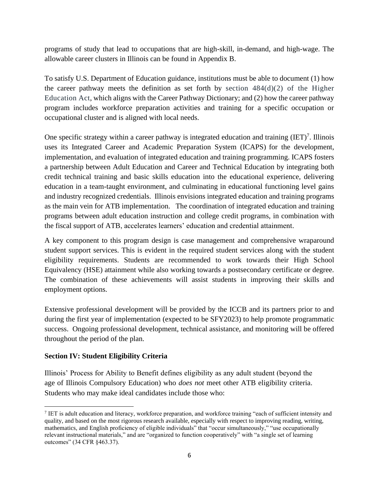programs of study that lead to occupations that are high-skill, in-demand, and high-wage. The allowable career clusters in Illinois can be found in Appendix B.

To satisfy U.S. Department of Education guidance, institutions must be able to document (1) how the career pathway meets the definition as set forth by section  $484(d)(2)$  of the Higher Education Act, which aligns with the Career Pathway Dictionary; and (2) how the career pathway program includes workforce preparation activities and training for a specific occupation or occupational cluster and is aligned with local needs.

One specific strategy within a career pathway is integrated education and training  $(IET)^7$ . Illinois uses its Integrated Career and Academic Preparation System (ICAPS) for the development, implementation, and evaluation of integrated education and training programming. ICAPS fosters a partnership between Adult Education and Career and Technical Education by integrating both credit technical training and basic skills education into the educational experience, delivering education in a team-taught environment, and culminating in educational functioning level gains and industry recognized credentials. Illinois envisions integrated education and training programs as the main vein for ATB implementation. The coordination of integrated education and training programs between adult education instruction and college credit programs, in combination with the fiscal support of ATB, accelerates learners' education and credential attainment.

A key component to this program design is case management and comprehensive wraparound student support services. This is evident in the required student services along with the student eligibility requirements. Students are recommended to work towards their High School Equivalency (HSE) attainment while also working towards a postsecondary certificate or degree. The combination of these achievements will assist students in improving their skills and employment options.

Extensive professional development will be provided by the ICCB and its partners prior to and during the first year of implementation (expected to be SFY2023) to help promote programmatic success. Ongoing professional development, technical assistance, and monitoring will be offered throughout the period of the plan.

# **Section IV: Student Eligibility Criteria**

Illinois' Process for Ability to Benefit defines eligibility as any adult student (beyond the age of Illinois Compulsory Education) who *does not* meet other ATB eligibility criteria. Students who may make ideal candidates include those who:

<sup>&</sup>lt;sup>7</sup> IET is adult education and literacy, workforce preparation, and workforce training "each of sufficient intensity and quality, and based on the most rigorous research available, especially with respect to improving reading, writing, mathematics, and English proficiency of eligible individuals" that "occur simultaneously," "use occupationally relevant instructional materials," and are "organized to function cooperatively" with "a single set of learning outcomes" (34 CFR §463.37).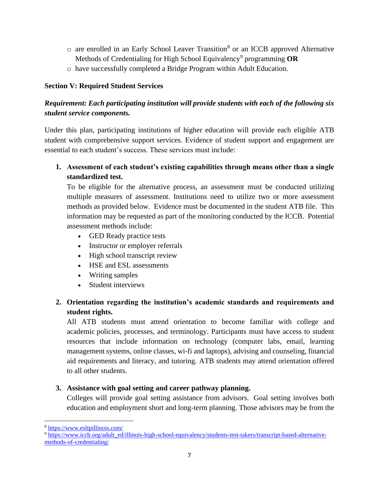- o are enrolled in an Early School Leaver Transition<sup>8</sup> or an ICCB approved Alternative Methods of Credentialing for High School Equivalency<sup>9</sup> programming OR
- o have successfully completed a Bridge Program within Adult Education.

# **Section V: Required Student Services**

# *Requirement: Each participating institution will provide students with each of the following six student service components.*

Under this plan, participating institutions of higher education will provide each eligible ATB student with comprehensive support services. Evidence of student support and engagement are essential to each student's success. These services must include:

**1. Assessment of each student's existing capabilities through means other than a single standardized test.**

To be eligible for the alternative process, an assessment must be conducted utilizing multiple measures of assessment. Institutions need to utilize two or more assessment methods as provided below. Evidence must be documented in the student ATB file. This information may be requested as part of the monitoring conducted by the ICCB. Potential assessment methods include:

- GED Ready practice tests
- Instructor or employer referrals
- High school transcript review
- HSE and ESL assessments
- Writing samples
- Student interviews

# **2. Orientation regarding the institution's academic standards and requirements and student rights.**

All ATB students must attend orientation to become familiar with college and academic policies, processes, and terminology. Participants must have access to student resources that include information on technology (computer labs, email, learning management systems, online classes, wi-fi and laptops), advising and counseling, financial aid requirements and literacy, and tutoring. ATB students may attend orientation offered to all other students.

# **3. Assistance with goal setting and career pathway planning.**

Colleges will provide goal setting assistance from advisors. Goal setting involves both education and employment short and long-term planning. Those advisors may be from the

<sup>8</sup> <https://www.esltpillinois.com/>

<sup>9</sup> [https://www.iccb.org/adult\\_ed/illinois-high-school-equivalency/students-test-takers/transcript-based-alternative](https://www.iccb.org/adult_ed/illinois-high-school-equivalency/students-test-takers/transcript-based-alternative-methods-of-credentialing/)[methods-of-credentialing/](https://www.iccb.org/adult_ed/illinois-high-school-equivalency/students-test-takers/transcript-based-alternative-methods-of-credentialing/)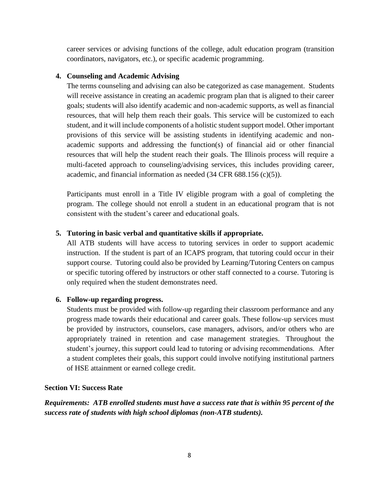career services or advising functions of the college, adult education program (transition coordinators, navigators, etc.), or specific academic programming.

## **4. Counseling and Academic Advising**

The terms counseling and advising can also be categorized as case management. Students will receive assistance in creating an academic program plan that is aligned to their career goals; students will also identify academic and non-academic supports, as well as financial resources, that will help them reach their goals. This service will be customized to each student, and it will include components of a holistic student support model. Other important provisions of this service will be assisting students in identifying academic and nonacademic supports and addressing the function(s) of financial aid or other financial resources that will help the student reach their goals. The Illinois process will require a multi-faceted approach to counseling/advising services, this includes providing career, academic, and financial information as needed (34 CFR 688.156 (c)(5)).

Participants must enroll in a Title IV eligible program with a goal of completing the program. The college should not enroll a student in an educational program that is not consistent with the student's career and educational goals.

# **5. Tutoring in basic verbal and quantitative skills if appropriate.**

All ATB students will have access to tutoring services in order to support academic instruction. If the student is part of an ICAPS program, that tutoring could occur in their support course. Tutoring could also be provided by Learning/Tutoring Centers on campus or specific tutoring offered by instructors or other staff connected to a course. Tutoring is only required when the student demonstrates need.

# **6. Follow-up regarding progress.**

Students must be provided with follow-up regarding their classroom performance and any progress made towards their educational and career goals. These follow-up services must be provided by instructors, counselors, case managers, advisors, and/or others who are appropriately trained in retention and case management strategies. Throughout the student's journey, this support could lead to tutoring or advising recommendations. After a student completes their goals, this support could involve notifying institutional partners of HSE attainment or earned college credit.

# **Section VI: Success Rate**

*Requirements:**ATB enrolled students must have a success rate that is within 95 percent of the success rate of students with high school diplomas (non-ATB students).*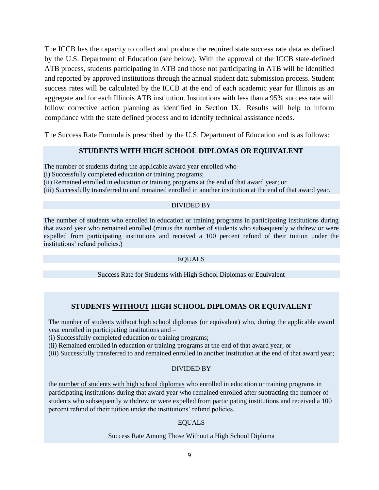The ICCB has the capacity to collect and produce the required state success rate data as defined by the U.S. Department of Education (see below). With the approval of the ICCB state-defined ATB process, students participating in ATB and those not participating in ATB will be identified and reported by approved institutions through the annual student data submission process. Student success rates will be calculated by the ICCB at the end of each academic year for Illinois as an aggregate and for each Illinois ATB institution. Institutions with less than a 95% success rate will follow corrective action planning as identified in Section IX. Results will help to inform compliance with the state defined process and to identify technical assistance needs.

The Success Rate Formula is prescribed by the U.S. Department of Education and is as follows:

#### **STUDENTS WITH HIGH SCHOOL DIPLOMAS OR EQUIVALENT**

The number of students during the applicable award year enrolled who-

(i) Successfully completed education or training programs;

(ii) Remained enrolled in education or training programs at the end of that award year; or

(iii) Successfully transferred to and remained enrolled in another institution at the end of that award year.

#### DIVIDED BY

The number of students who enrolled in education or training programs in participating institutions during that award year who remained enrolled (minus the number of students who subsequently withdrew or were expelled from participating institutions and received a 100 percent refund of their tuition under the institutions' refund policies.)

#### EQUALS

Success Rate for Students with High School Diplomas or Equivalent

# **STUDENTS WITHOUT HIGH SCHOOL DIPLOMAS OR EQUIVALENT**

The number of students without high school diplomas (or equivalent) who, during the applicable award year enrolled in participating institutions and –

(i) Successfully completed education or training programs;

(ii) Remained enrolled in education or training programs at the end of that award year; or

(iii) Successfully transferred to and remained enrolled in another institution at the end of that award year;

#### DIVIDED BY

the number of students with high school diplomas who enrolled in education or training programs in participating institutions during that award year who remained enrolled after subtracting the number of students who subsequently withdrew or were expelled from participating institutions and received a 100 percent refund of their tuition under the institutions' refund policies.

#### EQUALS

#### Success Rate Among Those Without a High School Diploma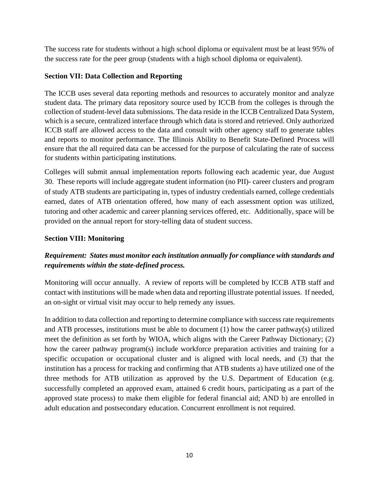The success rate for students without a high school diploma or equivalent must be at least 95% of the success rate for the peer group (students with a high school diploma or equivalent).

# **Section VII: Data Collection and Reporting**

The ICCB uses several data reporting methods and resources to accurately monitor and analyze student data. The primary data repository source used by ICCB from the colleges is through the collection of student-level data submissions. The data reside in the ICCB Centralized Data System, which is a secure, centralized interface through which data is stored and retrieved. Only authorized ICCB staff are allowed access to the data and consult with other agency staff to generate tables and reports to monitor performance. The Illinois Ability to Benefit State-Defined Process will ensure that the all required data can be accessed for the purpose of calculating the rate of success for students within participating institutions.

Colleges will submit annual implementation reports following each academic year, due August 30. These reports will include aggregate student information (no PII)- career clusters and program of study ATB students are participating in, types of industry credentials earned, college credentials earned, dates of ATB orientation offered, how many of each assessment option was utilized, tutoring and other academic and career planning services offered, etc. Additionally, space will be provided on the annual report for story-telling data of student success.

## **Section VIII: Monitoring**

# *Requirement:**States must monitor each institution annually for compliance with standards and requirements within the state-defined process.*

Monitoring will occur annually. A review of reports will be completed by ICCB ATB staff and contact with institutions will be made when data and reporting illustrate potential issues. If needed, an on-sight or virtual visit may occur to help remedy any issues.

In addition to data collection and reporting to determine compliance with success rate requirements and ATB processes, institutions must be able to document (1) how the career pathway(s) utilized meet the definition as set forth by WIOA, which aligns with the Career Pathway Dictionary; (2) how the career pathway program(s) include workforce preparation activities and training for a specific occupation or occupational cluster and is aligned with local needs, and (3) that the institution has a process for tracking and confirming that ATB students a) have utilized one of the three methods for ATB utilization as approved by the U.S. Department of Education (e.g. successfully completed an approved exam, attained 6 credit hours, participating as a part of the approved state process) to make them eligible for federal financial aid; AND b) are enrolled in adult education and postsecondary education. Concurrent enrollment is not required.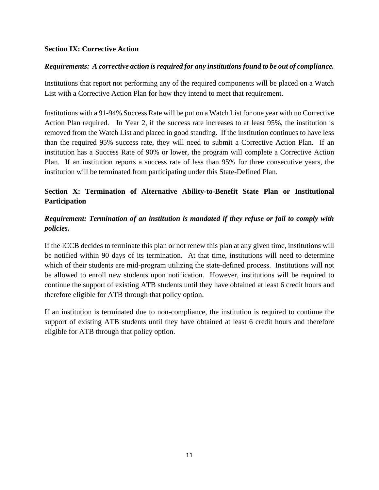# **Section IX: Corrective Action**

# *Requirements: A corrective action is required for any institutions found to be out of compliance.*

Institutions that report not performing any of the required components will be placed on a Watch List with a Corrective Action Plan for how they intend to meet that requirement.

Institutions with a 91-94% Success Rate will be put on a Watch List for one year with no Corrective Action Plan required. In Year 2, if the success rate increases to at least 95%, the institution is removed from the Watch List and placed in good standing. If the institution continues to have less than the required 95% success rate, they will need to submit a Corrective Action Plan. If an institution has a Success Rate of 90% or lower, the program will complete a Corrective Action Plan. If an institution reports a success rate of less than 95% for three consecutive years, the institution will be terminated from participating under this State-Defined Plan.

# **Section X: Termination of Alternative Ability-to-Benefit State Plan or Institutional Participation**

# *Requirement: Termination of an institution is mandated if they refuse or fail to comply with policies.*

If the ICCB decides to terminate this plan or not renew this plan at any given time, institutions will be notified within 90 days of its termination. At that time, institutions will need to determine which of their students are mid-program utilizing the state-defined process. Institutions will not be allowed to enroll new students upon notification. However, institutions will be required to continue the support of existing ATB students until they have obtained at least 6 credit hours and therefore eligible for ATB through that policy option.

If an institution is terminated due to non-compliance, the institution is required to continue the support of existing ATB students until they have obtained at least 6 credit hours and therefore eligible for ATB through that policy option.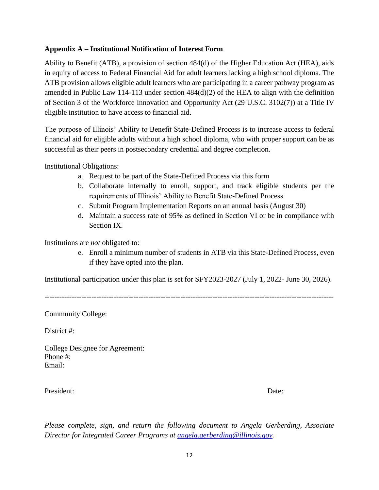# **Appendix A – Institutional Notification of Interest Form**

Ability to Benefit (ATB), a provision of section 484(d) of the Higher Education Act (HEA), aids in equity of access to Federal Financial Aid for adult learners lacking a high school diploma. The ATB provision allows eligible adult learners who are participating in a career pathway program as amended in Public Law 114-113 under section 484(d)(2) of the HEA to align with the definition of Section 3 of the Workforce Innovation and Opportunity Act (29 U.S.C. 3102(7)) at a Title IV eligible institution to have access to financial aid.

The purpose of Illinois' Ability to Benefit State-Defined Process is to increase access to federal financial aid for eligible adults without a high school diploma, who with proper support can be as successful as their peers in postsecondary credential and degree completion.

Institutional Obligations:

- a. Request to be part of the State-Defined Process via this form
- b. Collaborate internally to enroll, support, and track eligible students per the requirements of Illinois' Ability to Benefit State-Defined Process
- c. Submit Program Implementation Reports on an annual basis (August 30)
- d. Maintain a success rate of 95% as defined in Section VI or be in compliance with Section IX.

Institutions are *not* obligated to:

e. Enroll a minimum number of students in ATB via this State-Defined Process, even if they have opted into the plan.

Institutional participation under this plan is set for SFY2023-2027 (July 1, 2022- June 30, 2026).

---------------------------------------------------------------------------------------------------------------------

Community College:

District #:

College Designee for Agreement: Phone #: Email:

President: Date:

*Please complete, sign, and return the following document to Angela Gerberding, Associate Director for Integrated Career Programs at [angela.gerberding@illinois.gov.](mailto:angela.gerberding@illinois.gov)*